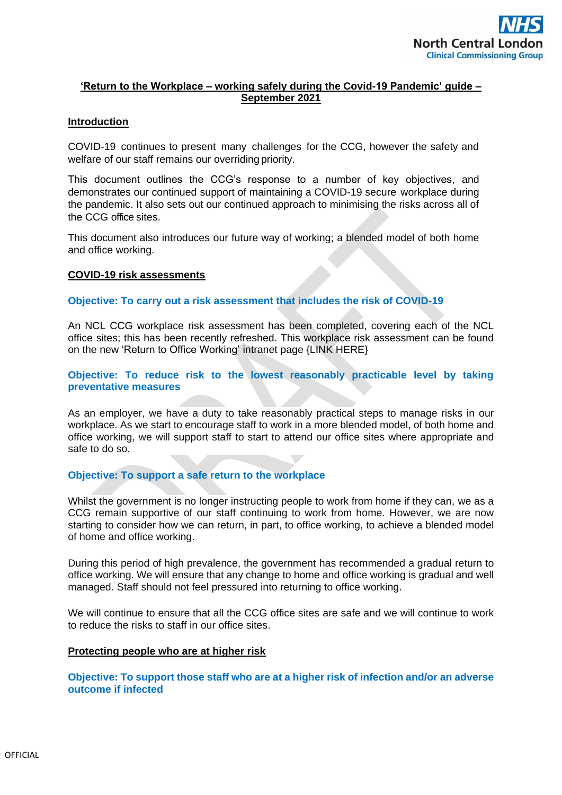# **'Return to the Workplace – working safely during the Covid-19 Pandemic' guide – September 2021**

## **Introduction**

COVID-19 continues to present many challenges for the CCG, however the safety and welfare of our staff remains our overriding priority.

This document outlines the CCG's response to a number of key objectives, and demonstrates our continued support of maintaining a COVID-19 secure workplace during the pandemic. It also sets out our continued approach to minimising the risks across all of the CCG office sites.

This document also introduces our future way of working; a blended model of both home and office working.

### **COVID-19 risk assessments**

## **Objective: To carry out a risk assessment that includes the risk of COVID-19**

An NCL CCG workplace risk assessment has been completed, covering each of the NCL office sites; this has been recently refreshed. This workplace risk assessment can be found on the new 'Return to Office Working' intranet page {LINK HERE}

## **Objective: To reduce risk to the lowest reasonably practicable level by taking preventative measures**

As an employer, we have a duty to take reasonably practical steps to manage risks in our workplace. As we start to encourage staff to work in a more blended model, of both home and office working, we will support staff to start to attend our office sites where appropriate and safe to do so.

# **Objective: To support a safe return to the workplace**

Whilst the government is no longer instructing people to work from home if they can, we as a CCG remain supportive of our staff continuing to work from home. However, we are now starting to consider how we can return, in part, to office working, to achieve a blended model of home and office working.

During this period of high prevalence, the government has recommended a gradual return to office working. We will ensure that any change to home and office working is gradual and well managed. Staff should not feel pressured into returning to office working.

We will continue to ensure that all the CCG office sites are safe and we will continue to work to reduce the risks to staff in our office sites.

### **Protecting people who are at higher risk**

**Objective: To support those staff who are at a higher risk of infection and/or an adverse outcome if infected**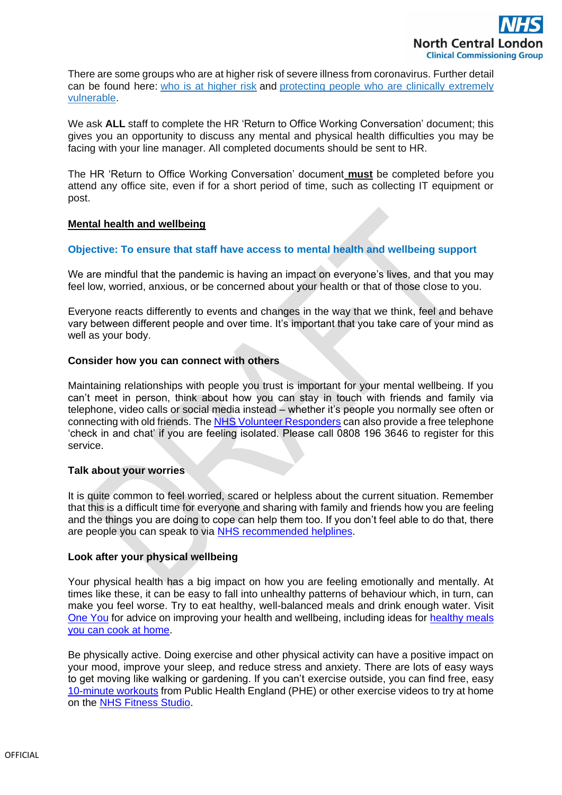There are some groups who are at higher risk of severe illness from coronavirus. Further detail can be found here: [who is at higher risk](https://www.nhs.uk/conditions/coronavirus-covid-19/people-at-higher-risk/) and protecting people who are clinically extremely [vulnerable.](https://www.gov.uk/government/publications/guidance-on-shielding-and-protecting-extremely-vulnerable-persons-from-covid-19/guidance-on-shielding-and-protecting-extremely-vulnerable-persons-from-covid-19)

We ask **ALL** staff to complete the HR 'Return to Office Working Conversation' document; this gives you an opportunity to discuss any mental and physical health difficulties you may be facing with your line manager. All completed documents should be sent to HR.

The HR 'Return to Office Working Conversation' document **must** be completed before you attend any office site, even if for a short period of time, such as collecting IT equipment or post.

## **Mental health and wellbeing**

## **Objective: To ensure that staff have access to mental health and wellbeing support**

We are mindful that the pandemic is having an impact on everyone's lives, and that you may feel low, worried, anxious, or be concerned about your health or that of those close to you.

Everyone reacts differently to events and changes in the way that we think, feel and behave vary between different people and over time. It's important that you take care of your mind as well as your body.

## **Consider how you can connect with others**

Maintaining relationships with people you trust is important for your mental wellbeing. If you can't meet in person, think about how you can stay in touch with friends and family via telephone, video calls or social media instead – whether it's people you normally see often or connecting with old friends. Th[e NHS Volunteer Responders](https://nhsvolunteerresponders.org.uk/services) can also provide a free telephone 'check in and chat' if you are feeling isolated. Please call 0808 196 3646 to register for this service.

### **Talk about your worries**

It is quite common to feel worried, scared or helpless about the current situation. Remember that this is a difficult time for everyone and sharing with family and friends how you are feeling and the things you are doing to cope can help them too. If you don't feel able to do that, there are people you can speak to via [NHS recommended helplines.](https://www.nhs.uk/conditions/stress-anxiety-depression/mental-health-helplines/)

# **Look after your physical wellbeing**

Your physical health has a big impact on how you are feeling emotionally and mentally. At times like these, it can be easy to fall into unhealthy patterns of behaviour which, in turn, can make you feel worse. Try to eat healthy, well-balanced meals and drink enough water. Visit [One You](https://www.nhs.uk/oneyou/) for advice on improving your health and wellbeing, including ideas for [healthy meals](https://www.nhs.uk/oneyou/for-your-body/eat-better/)  [you can cook at home.](https://www.nhs.uk/oneyou/for-your-body/eat-better/)

Be physically active. Doing exercise and other physical activity can have a positive impact on your mood, improve your sleep, and reduce stress and anxiety. There are lots of easy ways to get moving like walking or gardening. If you can't exercise outside, you can find free, easy [10-minute workouts](https://www.nhs.uk/oneyou/for-your-body/move-more/home-workout-videos/) from Public Health England (PHE) or other exercise videos to try at home on the [NHS Fitness Studio.](https://www.nhs.uk/conditions/nhs-fitness-studio/)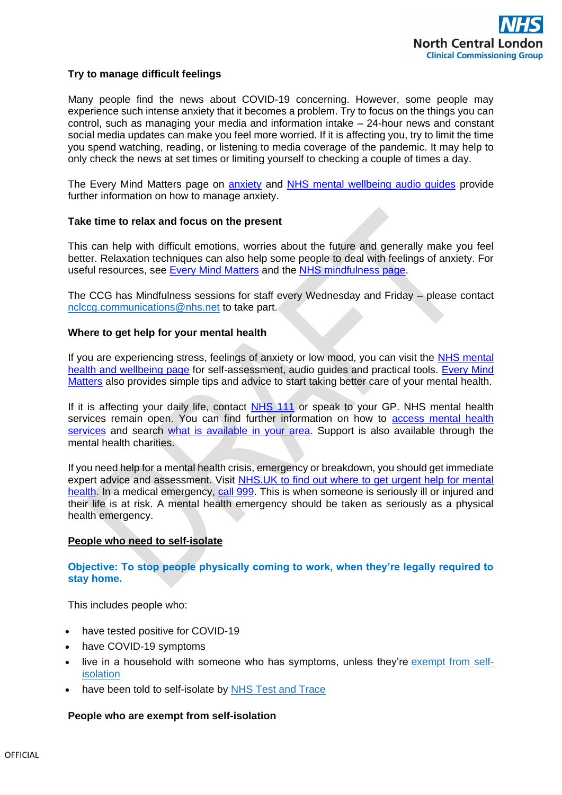

# **Try to manage difficult feelings**

Many people find the news about COVID-19 concerning. However, some people may experience such intense anxiety that it becomes a problem. Try to focus on the things you can control, such as managing your media and information intake – 24-hour news and constant social media updates can make you feel more worried. If it is affecting you, try to limit the time you spend watching, reading, or listening to media coverage of the pandemic. It may help to only check the news at set times or limiting yourself to checking a couple of times a day.

The Every Mind Matters page on [anxiety](https://www.nhs.uk/oneyou/every-mind-matters/anxiety/) and [NHS mental wellbeing audio guides](https://www.nhs.uk/conditions/stress-anxiety-depression/moodzone-mental-wellbeing-audio-guides/) provide further information on how to manage anxiety.

### **Take time to relax and focus on the present**

This can help with difficult emotions, worries about the future and generally make you feel better. Relaxation techniques can also help some people to deal with feelings of anxiety. For useful resources, see [Every Mind Matters](https://www.nhs.uk/oneyou/every-mind-matters/) and the [NHS mindfulness page.](https://www.nhs.uk/conditions/stress-anxiety-depression/mindfulness/)

The CCG has Mindfulness sessions for staff every Wednesday and Friday – please contact [nclccg.communications@nhs.net](mailto:nclccg.communications@nhs.net) to take part.

### **Where to get help for your mental health**

If you are experiencing stress, feelings of anxiety or low mood, you can visit the NHS mental [health and wellbeing page](https://www.nhs.uk/conditions/stress-anxiety-depression/) for self-assessment, audio guides and practical tools. [Every Mind](https://www.nhs.uk/oneyou/every-mind-matters/)  [Matters](https://www.nhs.uk/oneyou/every-mind-matters/) also provides simple tips and advice to start taking better care of your mental health.

If it is affecting your daily life, contact [NHS 111](https://111.nhs.uk/) or speak to your GP. NHS mental health services remain open. You can find further information on how to **access mental health** [services](https://www.nhs.uk/using-the-nhs/nhs-services/mental-health-services/how-to-access-mental-health-services/) and search [what is available in your area.](https://www.nhs.uk/using-the-nhs/nhs-services/mental-health-services/how-to-access-mental-health-services/) Support is also available through the mental health charities.

If you need help for a mental health crisis, emergency or breakdown, you should get immediate expert advice and assessment. Visit [NHS.UK to find out where to get urgent help for mental](https://www.nhs.uk/using-the-nhs/nhs-services/mental-health-services/where-to-get-urgent-help-for-mental-health)  [health.](https://www.nhs.uk/using-the-nhs/nhs-services/mental-health-services/where-to-get-urgent-help-for-mental-health) In a medical emergency, [call 999.](https://www.nhs.uk/nhs-services/urgent-and-emergency-care-services/when-to-call-999/) This is when someone is seriously ill or injured and their life is at risk. A mental health emergency should be taken as seriously as a physical health emergency.

### **People who need to self-isolate**

## **Objective: To stop people physically coming to work, when they're legally required to stay home.**

This includes people who:

- have tested positive for COVID-19
- have COVID-19 symptoms
- live in a household with someone who has symptoms, unless they're [exempt from self](https://www.gov.uk/guidance/working-safely-during-covid-19/offices-factories-and-labs#exempt)[isolation](https://www.gov.uk/guidance/working-safely-during-covid-19/offices-factories-and-labs#exempt)
- have been told to self-isolate by [NHS Test and Trace](https://www.nhs.uk/conditions/coronavirus-covid-19/testing/)

# **People who are exempt from self-isolation**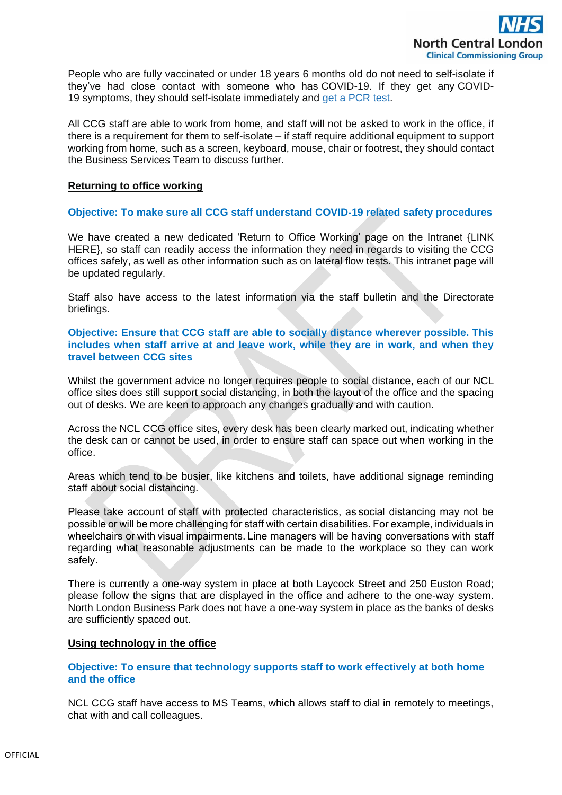People who are fully vaccinated or under 18 years 6 months old do not need to self-isolate if they've had close contact with someone who has COVID-19. If they get any COVID-19 symptoms, they should self-isolate immediately and [get a](https://www.gov.uk/get-coronavirus-test) PCR test.

All CCG staff are able to work from home, and staff will not be asked to work in the office, if there is a requirement for them to self-isolate – if staff require additional equipment to support working from home, such as a screen, keyboard, mouse, chair or footrest, they should contact the Business Services Team to discuss further.

## **Returning to office working**

# **Objective: To make sure all CCG staff understand COVID-19 related safety procedures**

We have created a new dedicated 'Return to Office Working' page on the Intranet {LINK HERE}, so staff can readily access the information they need in regards to visiting the CCG offices safely, as well as other information such as on lateral flow tests. This intranet page will be updated regularly.

Staff also have access to the latest information via the staff bulletin and the Directorate briefings.

### **Objective: Ensure that CCG staff are able to socially distance wherever possible. This includes when staff arrive at and leave work, while they are in work, and when they travel between CCG sites**

Whilst the government advice no longer requires people to social distance, each of our NCL office sites does still support social distancing, in both the layout of the office and the spacing out of desks. We are keen to approach any changes gradually and with caution.

Across the NCL CCG office sites, every desk has been clearly marked out, indicating whether the desk can or cannot be used, in order to ensure staff can space out when working in the office.

Areas which tend to be busier, like kitchens and toilets, have additional signage reminding staff about social distancing.

Please take account of staff with protected characteristics, as social distancing may not be possible or will be more challenging for staff with certain disabilities. For example, individuals in wheelchairs or with visual impairments. Line managers will be having conversations with staff regarding what reasonable adjustments can be made to the workplace so they can work safely. 

There is currently a one-way system in place at both Laycock Street and 250 Euston Road; please follow the signs that are displayed in the office and adhere to the one-way system. North London Business Park does not have a one-way system in place as the banks of desks are sufficiently spaced out.

### **Using technology in the office**

## **Objective: To ensure that technology supports staff to work effectively at both home and the office**

NCL CCG staff have access to MS Teams, which allows staff to dial in remotely to meetings, chat with and call colleagues.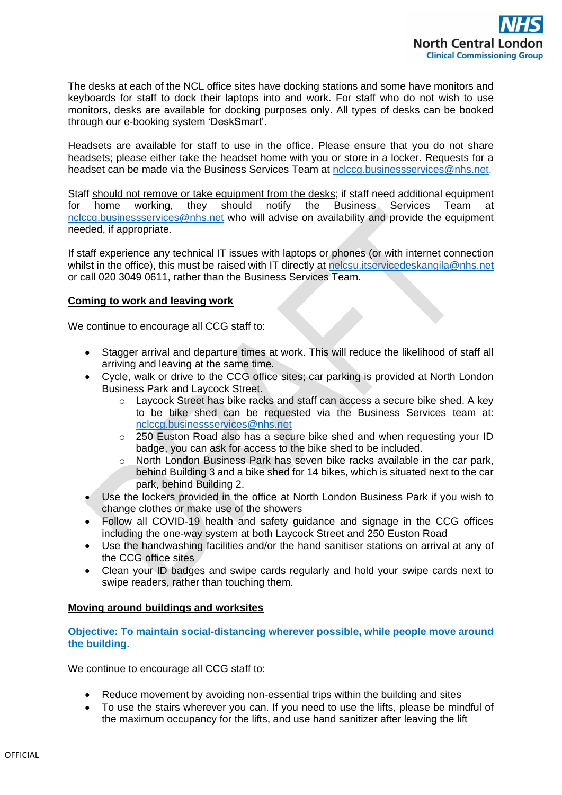The desks at each of the NCL office sites have docking stations and some have monitors and keyboards for staff to dock their laptops into and work. For staff who do not wish to use monitors, desks are available for docking purposes only. All types of desks can be booked through our e-booking system 'DeskSmart'.

Headsets are available for staff to use in the office. Please ensure that you do not share headsets; please either take the headset home with you or store in a locker. Requests for a headset can be made via the Business Services Team at [nclccg.businessservices@nhs.net.](mailto:nclccg.businessservices@nhs.net)

Staff should not remove or take equipment from the desks; if staff need additional equipment for home working, they should notify the Business Services Team at [nclccg.businessservices@nhs.net](mailto:nclccg.businessservices@nhs.net) who will advise on availability and provide the equipment needed, if appropriate.

If staff experience any technical IT issues with laptops or phones (or with internet connection whilst in the office), this must be raised with IT directly at [nelcsu.itservicedeskangila@nhs.net](mailto:nelcsu.itservicedeskangila@nhs.net) or call 020 3049 0611, rather than the Business Services Team.

# **Coming to work and leaving work**

We continue to encourage all CCG staff to:

- Stagger arrival and departure times at work. This will reduce the likelihood of staff all arriving and leaving at the same time.
- Cycle, walk or drive to the CCG office sites; car parking is provided at North London Business Park and Laycock Street.
	- o Laycock Street has bike racks and staff can access a secure bike shed. A key to be bike shed can be requested via the Business Services team at: [nclccg.businessservices@nhs.net](mailto:nclccg.businessservices@nhs.net)
	- $\circ$  250 Euston Road also has a secure bike shed and when requesting your ID badge, you can ask for access to the bike shed to be included.
	- o North London Business Park has seven bike racks available in the car park, behind Building 3 and a bike shed for 14 bikes, which is situated next to the car park, behind Building 2.
- Use the lockers provided in the office at North London Business Park if you wish to change clothes or make use of the showers
- Follow all COVID-19 health and safety guidance and signage in the CCG offices including the one-way system at both Laycock Street and 250 Euston Road
- Use the handwashing facilities and/or the hand sanitiser stations on arrival at any of the CCG office sites
- Clean your ID badges and swipe cards regularly and hold your swipe cards next to swipe readers, rather than touching them.

# **Moving around buildings and worksites**

# **Objective: To maintain social-distancing wherever possible, while people move around the building.**

We continue to encourage all CCG staff to:

- Reduce movement by avoiding non-essential trips within the building and sites
- To use the stairs wherever you can. If you need to use the lifts, please be mindful of the maximum occupancy for the lifts, and use hand sanitizer after leaving the lift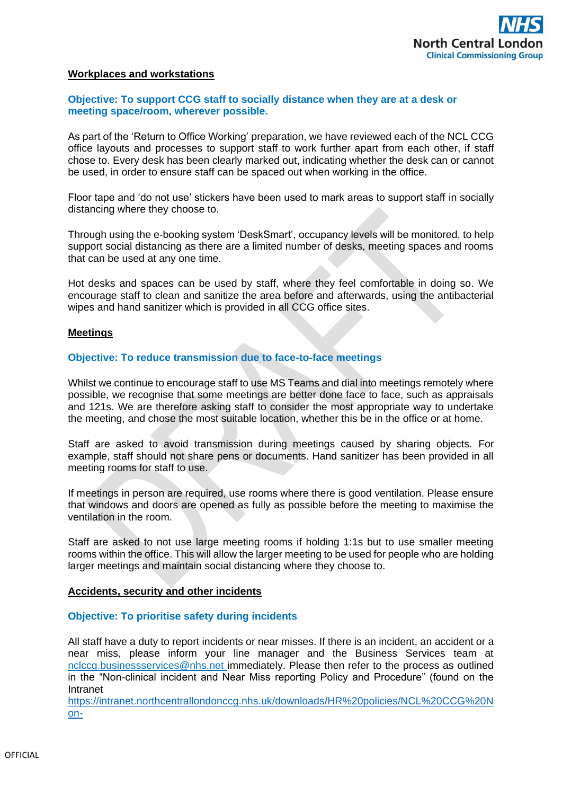

### **Workplaces and workstations**

## **Objective: To support CCG staff to socially distance when they are at a desk or meeting space/room, wherever possible.**

As part of the 'Return to Office Working' preparation, we have reviewed each of the NCL CCG office layouts and processes to support staff to work further apart from each other, if staff chose to. Every desk has been clearly marked out, indicating whether the desk can or cannot be used, in order to ensure staff can be spaced out when working in the office.

Floor tape and 'do not use' stickers have been used to mark areas to support staff in socially distancing where they choose to.

Through using the e-booking system 'DeskSmart', occupancy levels will be monitored, to help support social distancing as there are a limited number of desks, meeting spaces and rooms that can be used at any one time.

Hot desks and spaces can be used by staff, where they feel comfortable in doing so. We encourage staff to clean and sanitize the area before and afterwards, using the antibacterial wipes and hand sanitizer which is provided in all CCG office sites.

#### **Meetings**

### **Objective: To reduce transmission due to face-to-face meetings**

Whilst we continue to encourage staff to use MS Teams and dial into meetings remotely where possible, we recognise that some meetings are better done face to face, such as appraisals and 121s. We are therefore asking staff to consider the most appropriate way to undertake the meeting, and chose the most suitable location, whether this be in the office or at home.

Staff are asked to avoid transmission during meetings caused by sharing objects. For example, staff should not share pens or documents. Hand sanitizer has been provided in all meeting rooms for staff to use.

If meetings in person are required, use rooms where there is good ventilation. Please ensure that windows and doors are opened as fully as possible before the meeting to maximise the ventilation in the room.

Staff are asked to not use large meeting rooms if holding 1:1s but to use smaller meeting rooms within the office. This will allow the larger meeting to be used for people who are holding larger meetings and maintain social distancing where they choose to.

### **Accidents, security and other incidents**

### **Objective: To prioritise safety during incidents**

All staff have a duty to report incidents or near misses. If there is an incident, an accident or a near miss, please inform your line manager and the Business Services team at [nclccg.businessservices@nhs.net](mailto:nclccg.businessservices@nhs.net) immediately. Please then refer to the process as outlined in the "Non-clinical incident and Near Miss reporting Policy and Procedure" (found on the Intranet

[https://intranet.northcentrallondonccg.nhs.uk/downloads/HR%20policies/NCL%20CCG%20N](https://intranet.northcentrallondonccg.nhs.uk/downloads/HR%20policies/NCL%20CCG%20Non-Clinical%20Incident%20Near%20Miss%20Reporting%20Policy%20and%20Procedure.pdf) [on-](https://intranet.northcentrallondonccg.nhs.uk/downloads/HR%20policies/NCL%20CCG%20Non-Clinical%20Incident%20Near%20Miss%20Reporting%20Policy%20and%20Procedure.pdf)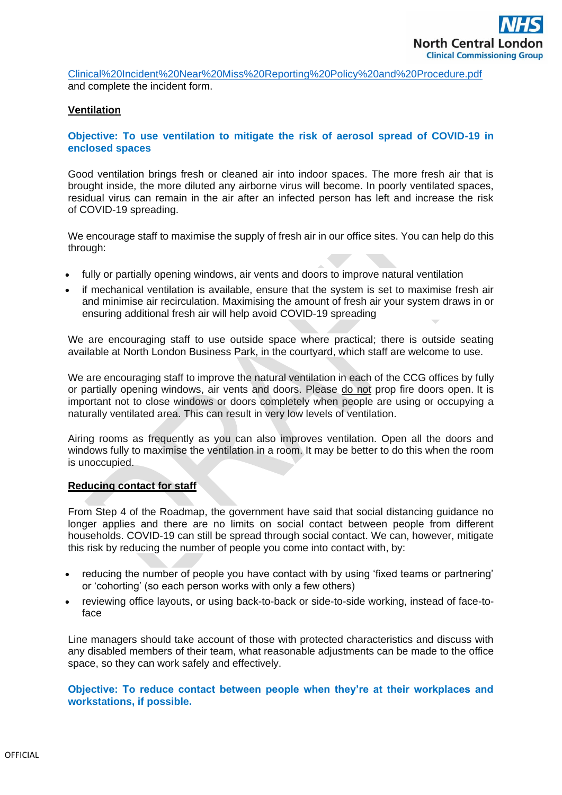[Clinical%20Incident%20Near%20Miss%20Reporting%20Policy%20and%20Procedure.pdf](https://intranet.northcentrallondonccg.nhs.uk/downloads/HR%20policies/NCL%20CCG%20Non-Clinical%20Incident%20Near%20Miss%20Reporting%20Policy%20and%20Procedure.pdf)  and complete the incident form.

### **Ventilation**

## **Objective: To use ventilation to mitigate the risk of aerosol spread of COVID-19 in enclosed spaces**

Good ventilation brings fresh or cleaned air into indoor spaces. The more fresh air that is brought inside, the more diluted any airborne virus will become. In poorly ventilated spaces, residual virus can remain in the air after an infected person has left and increase the risk of COVID-19 spreading.

We encourage staff to maximise the supply of fresh air in our office sites. You can help do this through:

- fully or partially opening windows, air vents and doors to improve natural ventilation
- if mechanical ventilation is available, ensure that the system is set to maximise fresh air and minimise air recirculation. Maximising the amount of fresh air your system draws in or ensuring additional fresh air will help avoid COVID-19 spreading

We are encouraging staff to use outside space where practical; there is outside seating available at North London Business Park, in the courtyard, which staff are welcome to use.

We are encouraging staff to improve the natural ventilation in each of the CCG offices by fully or partially opening windows, air vents and doors. Please do not prop fire doors open. It is important not to close windows or doors completely when people are using or occupying a naturally ventilated area. This can result in very low levels of ventilation.

Airing rooms as frequently as you can also improves ventilation. Open all the doors and windows fully to maximise the ventilation in a room. It may be better to do this when the room is unoccupied.

### **Reducing contact for staff**

From Step 4 of the Roadmap, the government have said that social distancing guidance no longer applies and there are no limits on social contact between people from different households. COVID-19 can still be spread through social contact. We can, however, mitigate this risk by reducing the number of people you come into contact with, by:

- reducing the number of people you have contact with by using 'fixed teams or partnering' or 'cohorting' (so each person works with only a few others)
- reviewing office layouts, or using back-to-back or side-to-side working, instead of face-toface

Line managers should take account of those with protected characteristics and discuss with any disabled members of their team, what reasonable adjustments can be made to the office space, so they can work safely and effectively.

**Objective: To reduce contact between people when they're at their workplaces and workstations, if possible.**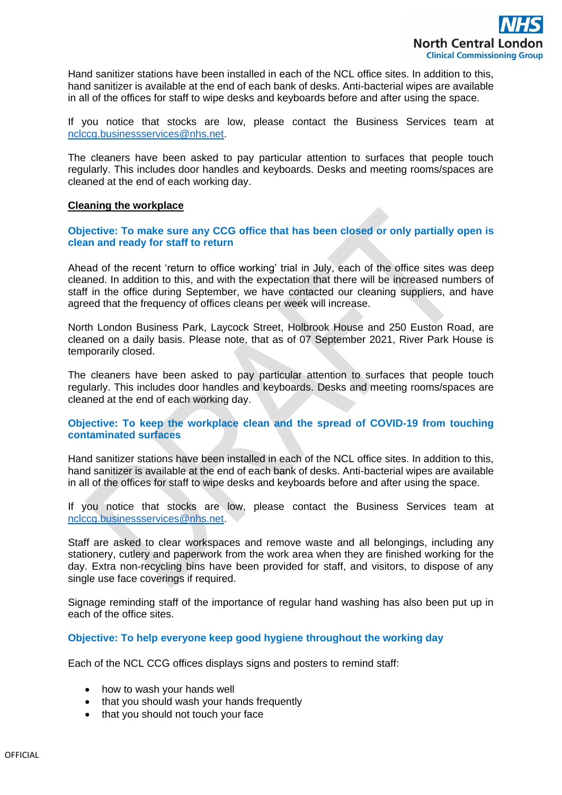Hand sanitizer stations have been installed in each of the NCL office sites. In addition to this, hand sanitizer is available at the end of each bank of desks. Anti-bacterial wipes are available in all of the offices for staff to wipe desks and keyboards before and after using the space.

If you notice that stocks are low, please contact the Business Services team at [nclccg.businessservices@nhs.net.](mailto:nclccg.businessservices@nhs.net)

The cleaners have been asked to pay particular attention to surfaces that people touch regularly. This includes door handles and keyboards. Desks and meeting rooms/spaces are cleaned at the end of each working day.

### **Cleaning the workplace**

**Objective: To make sure any CCG office that has been closed or only partially open is clean and ready for staff to return** 

Ahead of the recent 'return to office working' trial in July, each of the office sites was deep cleaned. In addition to this, and with the expectation that there will be increased numbers of staff in the office during September, we have contacted our cleaning suppliers, and have agreed that the frequency of offices cleans per week will increase.

North London Business Park, Laycock Street, Holbrook House and 250 Euston Road, are cleaned on a daily basis. Please note, that as of 07 September 2021, River Park House is temporarily closed.

The cleaners have been asked to pay particular attention to surfaces that people touch regularly. This includes door handles and keyboards. Desks and meeting rooms/spaces are cleaned at the end of each working day.

## **Objective: To keep the workplace clean and the spread of COVID-19 from touching contaminated surfaces**

Hand sanitizer stations have been installed in each of the NCL office sites. In addition to this, hand sanitizer is available at the end of each bank of desks. Anti-bacterial wipes are available in all of the offices for staff to wipe desks and keyboards before and after using the space.

If you notice that stocks are low, please contact the Business Services team at [nclccg.businessservices@nhs.net.](mailto:nclccg.businessservices@nhs.net)

Staff are asked to clear workspaces and remove waste and all belongings, including any stationery, cutlery and paperwork from the work area when they are finished working for the day. Extra non-recycling bins have been provided for staff, and visitors, to dispose of any single use face coverings if required.

Signage reminding staff of the importance of regular hand washing has also been put up in each of the office sites.

### **Objective: To help everyone keep good hygiene throughout the working day**

Each of the NCL CCG offices displays signs and posters to remind staff:

- how to wash your hands well
- that you should wash your hands frequently
- that you should not touch your face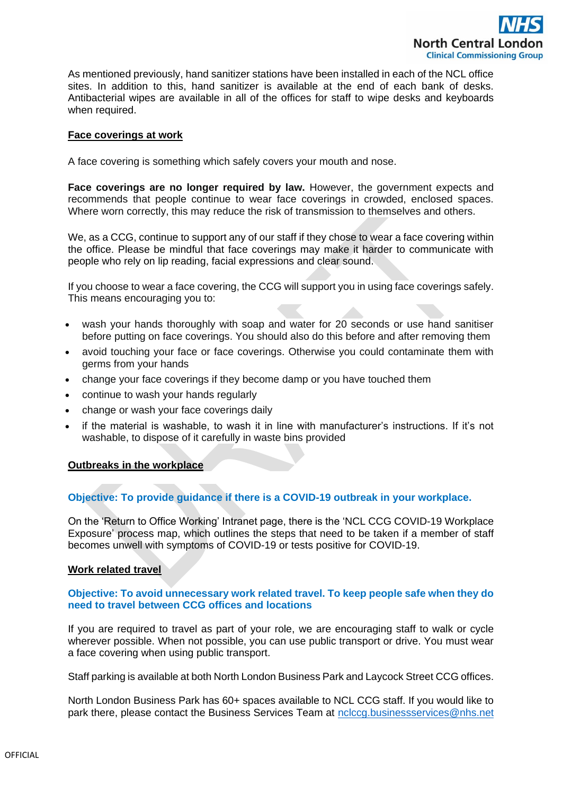As mentioned previously, hand sanitizer stations have been installed in each of the NCL office sites. In addition to this, hand sanitizer is available at the end of each bank of desks. Antibacterial wipes are available in all of the offices for staff to wipe desks and keyboards when required.

## **Face coverings at work**

A face covering is something which safely covers your mouth and nose.

**Face coverings are no longer required by law.** However, the government expects and recommends that people continue to wear face coverings in crowded, enclosed spaces. Where worn correctly, this may reduce the risk of transmission to themselves and others.

We, as a CCG, continue to support any of our staff if they chose to wear a face covering within the office. Please be mindful that face coverings may make it harder to communicate with people who rely on lip reading, facial expressions and clear sound.

If you choose to wear a face covering, the CCG will support you in using face coverings safely. This means encouraging you to:

- wash your hands thoroughly with soap and water for 20 seconds or use hand sanitiser before putting on face coverings. You should also do this before and after removing them
- avoid touching your face or face coverings. Otherwise you could contaminate them with germs from your hands
- change your face coverings if they become damp or you have touched them
- continue to wash your hands regularly
- change or wash your face coverings daily
- if the material is washable, to wash it in line with manufacturer's instructions. If it's not washable, to dispose of it carefully in waste bins provided

### **Outbreaks in the workplace**

# **Objective: To provide guidance if there is a COVID-19 outbreak in your workplace.**

On the 'Return to Office Working' Intranet page, there is the 'NCL CCG COVID-19 Workplace Exposure' process map, which outlines the steps that need to be taken if a member of staff becomes unwell with symptoms of COVID-19 or tests positive for COVID-19.

### **Work related travel**

## **Objective: To avoid unnecessary work related travel. To keep people safe when they do need to travel between CCG offices and locations**

If you are required to travel as part of your role, we are encouraging staff to walk or cycle wherever possible. When not possible, you can use public transport or drive. You must wear a face covering when using public transport.

Staff parking is available at both North London Business Park and Laycock Street CCG offices.

North London Business Park has 60+ spaces available to NCL CCG staff. If you would like to park there, please contact the Business Services Team at [nclccg.businessservices@nhs.net](mailto:nclccg.businessservices@nhs.net)